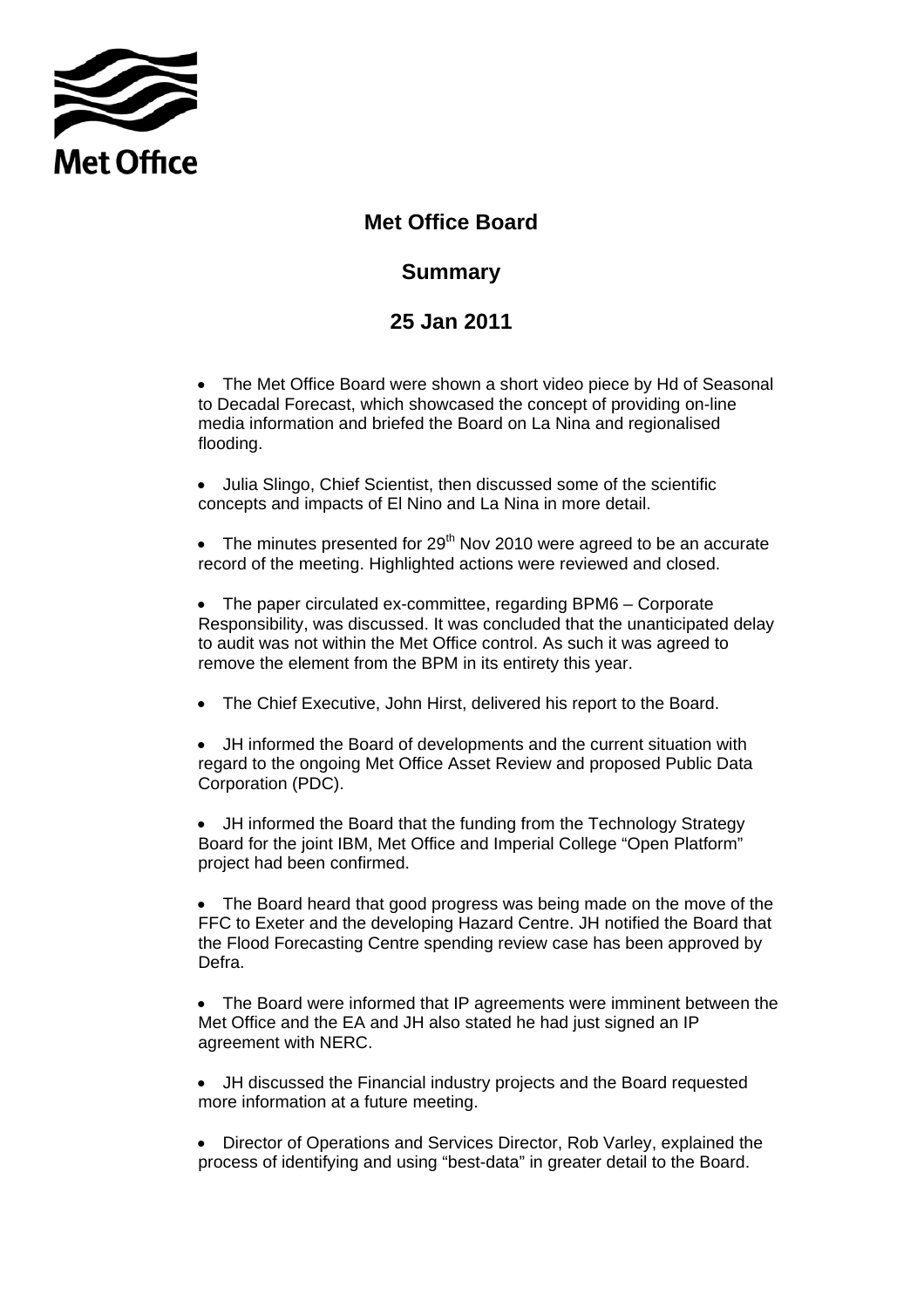

## **Met Office Board**

## **Summary**

## **Summary 25 Jan 2011**

• The Met Office Board were shown a short video piece by Hd of Seasonal to Decadal Forecast, which showcased the concept of providing on-line media information and briefed the Board on La Nina and regionalised flooding.

• Julia Slingo, Chief Scientist, then discussed some of the scientific concepts and impacts of El Nino and La Nina in more detail.

• The minutes presented for  $29<sup>th</sup>$  Nov 2010 were agreed to be an accurate record of the meeting. Highlighted actions were reviewed and closed.

• The paper circulated ex-committee, regarding BPM6 – Corporate Responsibility, was discussed. It was concluded that the unanticipated delay to audit was not within the Met Office control. As such it was agreed to remove the element from the BPM in its entirety this year.

• The Chief Executive, John Hirst, delivered his report to the Board.

• JH informed the Board of developments and the current situation with regard to the ongoing Met Office Asset Review and proposed Public Data Corporation (PDC).

• JH informed the Board that the funding from the Technology Strategy Board for the joint IBM, Met Office and Imperial College "Open Platform" project had been confirmed.

• The Board heard that good progress was being made on the move of the FFC to Exeter and the developing Hazard Centre. JH notified the Board that the Flood Forecasting Centre spending review case has been approved by Defra.

• The Board were informed that IP agreements were imminent between the Met Office and the EA and JH also stated he had just signed an IP agreement with NERC.

• JH discussed the Financial industry projects and the Board requested more information at a future meeting.

• Director of Operations and Services Director, Rob Varley, explained the process of identifying and using "best-data" in greater detail to the Board.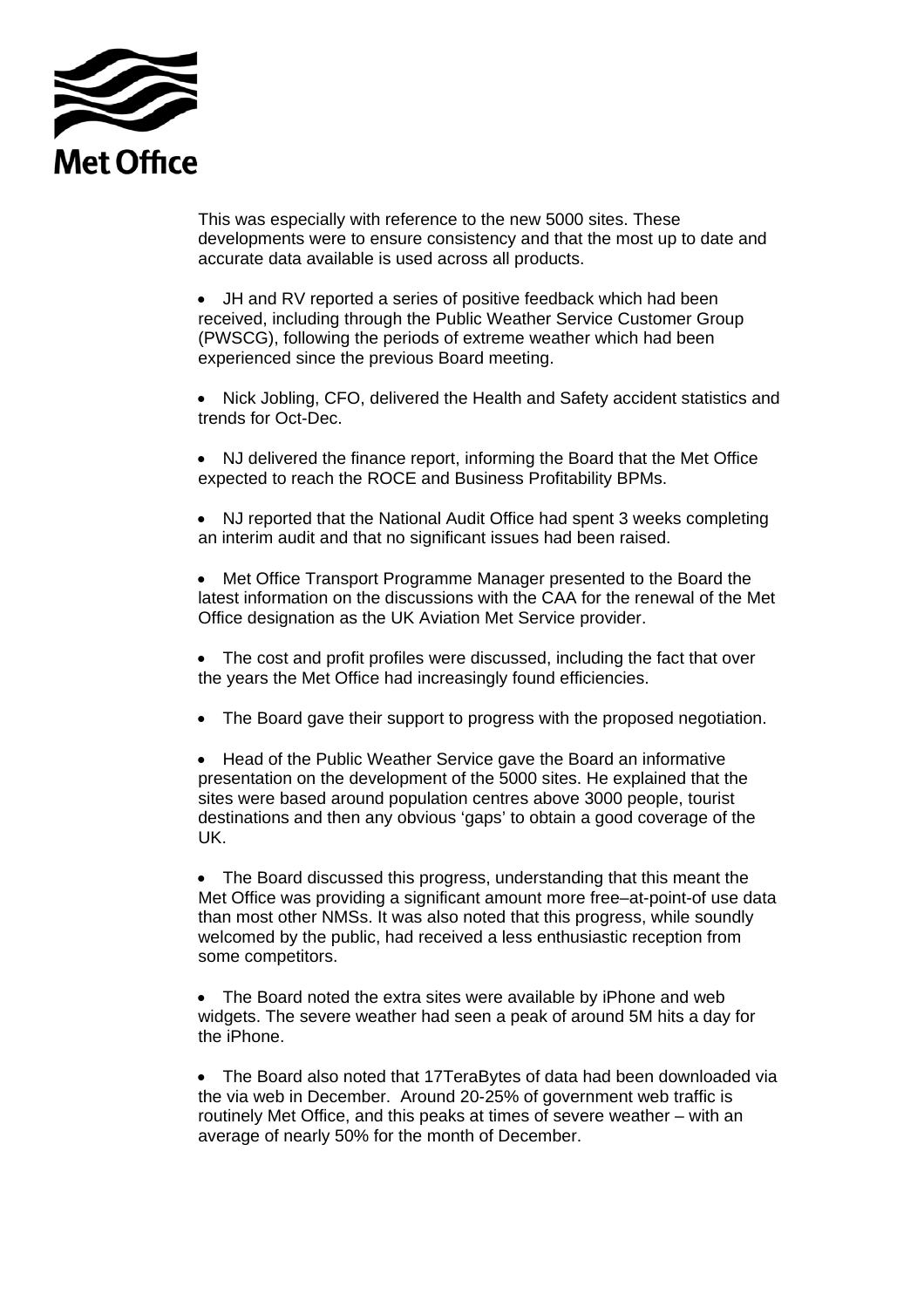

This was especially with reference to the new 5000 sites. These developments were to ensure consistency and that the most up to date and accurate data available is used across all products.

- JH and RV reported a series of positive feedback which had been received, including through the Public Weather Service Customer Group (PWSCG), following the periods of extreme weather which had been experienced since the previous Board meeting.
- Nick Jobling, CFO, delivered the Health and Safety accident statistics and trends for Oct-Dec.
- NJ delivered the finance report, informing the Board that the Met Office expected to reach the ROCE and Business Profitability BPMs.
- NJ reported that the National Audit Office had spent 3 weeks completing an interim audit and that no significant issues had been raised.
- Met Office Transport Programme Manager presented to the Board the latest information on the discussions with the CAA for the renewal of the Met Office designation as the UK Aviation Met Service provider.
- The cost and profit profiles were discussed, including the fact that over the years the Met Office had increasingly found efficiencies.
- The Board gave their support to progress with the proposed negotiation.
- Head of the Public Weather Service gave the Board an informative presentation on the development of the 5000 sites. He explained that the sites were based around population centres above 3000 people, tourist destinations and then any obvious 'gaps' to obtain a good coverage of the UK.
- The Board discussed this progress, understanding that this meant the Met Office was providing a significant amount more free–at-point-of use data than most other NMSs. It was also noted that this progress, while soundly welcomed by the public, had received a less enthusiastic reception from some competitors.
- The Board noted the extra sites were available by iPhone and web widgets. The severe weather had seen a peak of around 5M hits a day for the iPhone.
- The Board also noted that 17TeraBytes of data had been downloaded via the via web in December. Around 20-25% of government web traffic is routinely Met Office, and this peaks at times of severe weather – with an average of nearly 50% for the month of December.